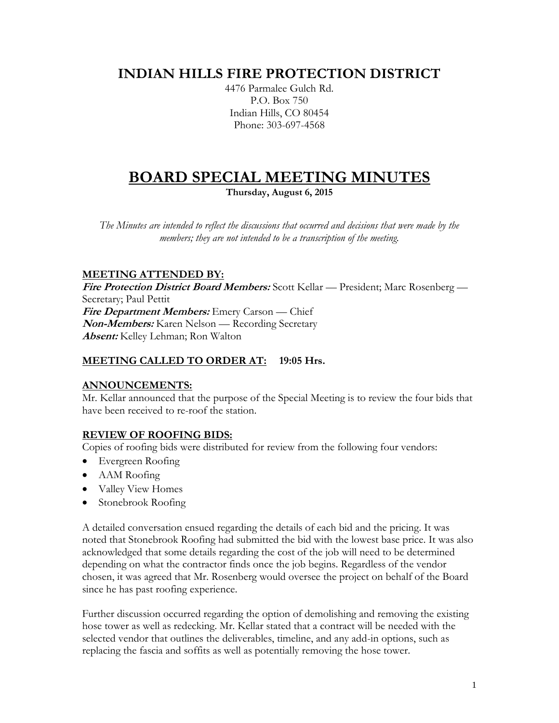# **INDIAN HILLS FIRE PROTECTION DISTRICT**

4476 Parmalee Gulch Rd. P.O. Box 750 Indian Hills, CO 80454 Phone: 303-697-4568

# **BOARD SPECIAL MEETING MINUTES**

**Thursday, August 6, 2015**

*The Minutes are intended to reflect the discussions that occurred and decisions that were made by the members; they are not intended to be a transcription of the meeting.*

# **MEETING ATTENDED BY:**

**Fire Protection District Board Members:** Scott Kellar — President; Marc Rosenberg — Secretary; Paul Pettit **Fire Department Members:** Emery Carson — Chief **Non-Members:** Karen Nelson — Recording Secretary **Absent:** Kelley Lehman; Ron Walton

#### **MEETING CALLED TO ORDER AT: 19:05 Hrs.**

#### **ANNOUNCEMENTS:**

Mr. Kellar announced that the purpose of the Special Meeting is to review the four bids that have been received to re-roof the station.

#### **REVIEW OF ROOFING BIDS:**

Copies of roofing bids were distributed for review from the following four vendors:

- Evergreen Roofing
- AAM Roofing
- Valley View Homes
- Stonebrook Roofing

A detailed conversation ensued regarding the details of each bid and the pricing. It was noted that Stonebrook Roofing had submitted the bid with the lowest base price. It was also acknowledged that some details regarding the cost of the job will need to be determined depending on what the contractor finds once the job begins. Regardless of the vendor chosen, it was agreed that Mr. Rosenberg would oversee the project on behalf of the Board since he has past roofing experience.

Further discussion occurred regarding the option of demolishing and removing the existing hose tower as well as redecking. Mr. Kellar stated that a contract will be needed with the selected vendor that outlines the deliverables, timeline, and any add-in options, such as replacing the fascia and soffits as well as potentially removing the hose tower.